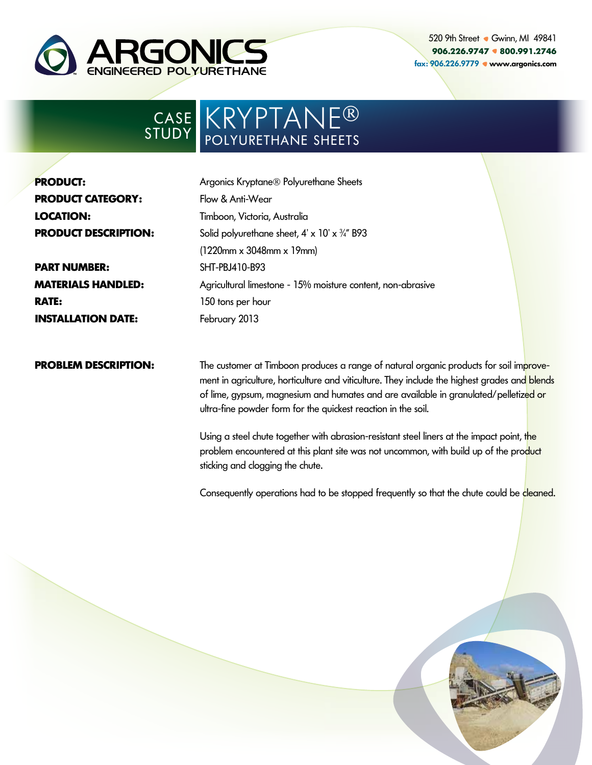

520 9th Street • Gwinn, MI 49841 **906.226.9747 800.991.2746** fax: 906.226.9779 www.argonics.com

## KRYPTANE® POLYURETHANE SHEETS CASE STUDY

| <b>PRODUCT:</b>             |
|-----------------------------|
| <b>PRODUCT CATEGORY:</b>    |
| LOCATION:                   |
| <b>PRODUCT DESCRIPTION:</b> |

**PART NUMBER: MATERIALS HANDLED: RATE: INSTALLATION DATE:**

Argonics Kryptane® Polyurethane Sheets Flow & Anti-Wear Timboon, Victoria, Australia Solid polyurethane sheet, 4' x 10' x ¾" B93 (1220mm x 3048mm x 19mm) SHT-PBJ410-B93 Agricultural limestone - 15% moisture content, non-abrasive 150 tons per hour February 2013

## **PROBLEM DESCRIPTION:**

The customer at Timboon produces a range of natural organic products for soil improvement in agriculture, horticulture and viticulture. They include the highest grades and blends of lime, gypsum, magnesium and humates and are available in granulated/pelletized or ultra-fine powder form for the quickest reaction in the soil.

Using a steel chute together with abrasion-resistant steel liners at the impact point, the problem encountered at this plant site was not uncommon, with build up of the product sticking and clogging the chute.

Consequently operations had to be stopped frequently so that the chute could be cleaned.